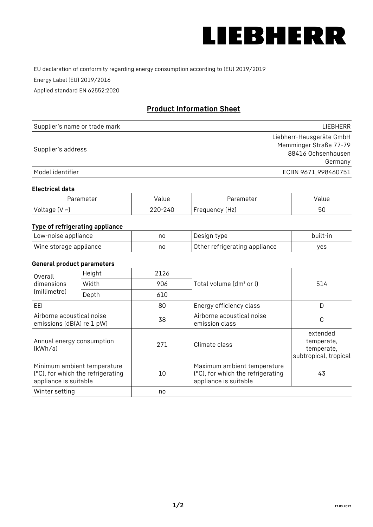

EU declaration of conformity regarding energy consumption according to (EU) 2019/2019

Energy Label (EU) 2019/2016

Applied standard EN 62552:2020

# **Product Information Sheet**

| Supplier's name or trade mark | <b>LIFBHFRR</b>          |
|-------------------------------|--------------------------|
|                               | Liebherr-Hausgeräte GmbH |
| Supplier's address            | Memminger Straße 77-79   |
|                               | 88416 Ochsenhausen       |
|                               | Germany                  |
| Model identifier              | ECBN 9671 998460751      |

#### **Electrical data**

| Parameter           | Value   | Parameter      | Value |
|---------------------|---------|----------------|-------|
| Voltage (V $\sim$ ) | 220-240 | Frequency (Hz) | 50    |

## **Type of refrigerating appliance**

| Low-noise appliance    | no | Design type                   | built-in |
|------------------------|----|-------------------------------|----------|
| Wine storage appliance | no | Other refrigerating appliance | ves      |

#### **General product parameters**

| Height<br>Overall<br>dimensions<br>Width<br>(millimetre)<br>Depth |                                                                  | 2126 |                                                                                           | 514                                                           |
|-------------------------------------------------------------------|------------------------------------------------------------------|------|-------------------------------------------------------------------------------------------|---------------------------------------------------------------|
|                                                                   |                                                                  | 906  | Total volume (dm <sup>3</sup> or l)                                                       |                                                               |
|                                                                   |                                                                  | 610  |                                                                                           |                                                               |
| EEL                                                               |                                                                  | 80   | Energy efficiency class                                                                   | D                                                             |
| Airborne acoustical noise<br>emissions (dB(A) re 1 pW)            |                                                                  | 38   | Airborne acoustical noise<br>emission class                                               | С                                                             |
| Annual energy consumption<br>(kWh/a)                              |                                                                  | 271  | Climate class                                                                             | extended<br>temperate,<br>temperate,<br>subtropical, tropical |
| appliance is suitable                                             | Minimum ambient temperature<br>(°C), for which the refrigerating | 10   | Maximum ambient temperature<br>(°C), for which the refrigerating<br>appliance is suitable | 43                                                            |
| Winter setting                                                    |                                                                  | no   |                                                                                           |                                                               |